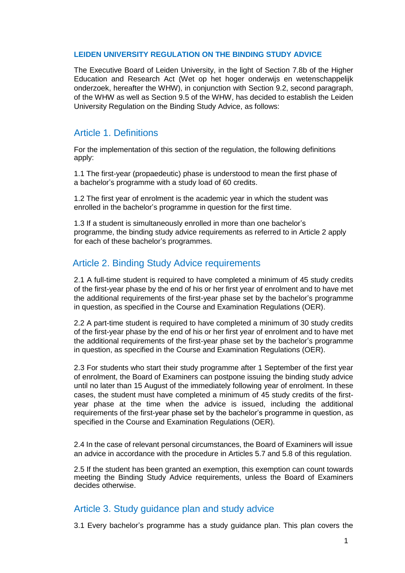#### **LEIDEN UNIVERSITY REGULATION ON THE BINDING STUDY ADVICE**

The Executive Board of Leiden University, in the light of Section 7.8b of the Higher Education and Research Act (Wet op het hoger onderwijs en wetenschappelijk onderzoek, hereafter the WHW), in conjunction with Section 9.2, second paragraph, of the WHW as well as Section 9.5 of the WHW, has decided to establish the Leiden University Regulation on the Binding Study Advice, as follows:

## Article 1. Definitions

For the implementation of this section of the regulation, the following definitions apply:

1.1 The first-year (propaedeutic) phase is understood to mean the first phase of a bachelor's programme with a study load of 60 credits.

1.2 The first year of enrolment is the academic year in which the student was enrolled in the bachelor's programme in question for the first time.

1.3 If a student is simultaneously enrolled in more than one bachelor's programme, the binding study advice requirements as referred to in Article 2 apply for each of these bachelor's programmes.

## Article 2. Binding Study Advice requirements

2.1 A full-time student is required to have completed a minimum of 45 study credits of the first-year phase by the end of his or her first year of enrolment and to have met the additional requirements of the first-year phase set by the bachelor's programme in question, as specified in the Course and Examination Regulations (OER).

2.2 A part-time student is required to have completed a minimum of 30 study credits of the first-year phase by the end of his or her first year of enrolment and to have met the additional requirements of the first-year phase set by the bachelor's programme in question, as specified in the Course and Examination Regulations (OER).

2.3 For students who start their study programme after 1 September of the first year of enrolment, the Board of Examiners can postpone issuing the binding study advice until no later than 15 August of the immediately following year of enrolment. In these cases, the student must have completed a minimum of 45 study credits of the firstyear phase at the time when the advice is issued, including the additional requirements of the first-year phase set by the bachelor's programme in question, as specified in the Course and Examination Regulations (OER).

2.4 In the case of relevant personal circumstances, the Board of Examiners will issue an advice in accordance with the procedure in Articles 5.7 and 5.8 of this regulation.

2.5 If the student has been granted an exemption, this exemption can count towards meeting the Binding Study Advice requirements, unless the Board of Examiners decides otherwise.

## Article 3. Study guidance plan and study advice

3.1 Every bachelor's programme has a study guidance plan. This plan covers the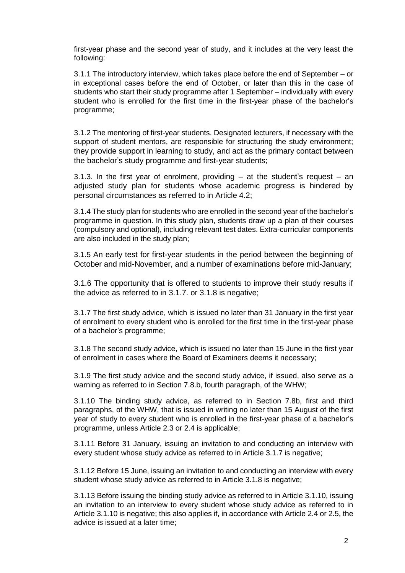first-year phase and the second year of study, and it includes at the very least the following:

3.1.1 The introductory interview, which takes place before the end of September – or in exceptional cases before the end of October, or later than this in the case of students who start their study programme after 1 September – individually with every student who is enrolled for the first time in the first-year phase of the bachelor's programme;

3.1.2 The mentoring of first-year students. Designated lecturers, if necessary with the support of student mentors, are responsible for structuring the study environment; they provide support in learning to study, and act as the primary contact between the bachelor's study programme and first-year students;

3.1.3. In the first year of enrolment, providing  $-$  at the student's request  $-$  an adjusted study plan for students whose academic progress is hindered by personal circumstances as referred to in Article 4.2;

3.1.4 The study plan for students who are enrolled in the second year of the bachelor's programme in question. In this study plan, students draw up a plan of their courses (compulsory and optional), including relevant test dates. Extra-curricular components are also included in the study plan;

3.1.5 An early test for first-year students in the period between the beginning of October and mid-November, and a number of examinations before mid-January;

3.1.6 The opportunity that is offered to students to improve their study results if the advice as referred to in 3.1.7. or 3.1.8 is negative;

3.1.7 The first study advice, which is issued no later than 31 January in the first year of enrolment to every student who is enrolled for the first time in the first-year phase of a bachelor's programme;

3.1.8 The second study advice, which is issued no later than 15 June in the first year of enrolment in cases where the Board of Examiners deems it necessary;

3.1.9 The first study advice and the second study advice, if issued, also serve as a warning as referred to in Section 7.8.b, fourth paragraph, of the WHW;

3.1.10 The binding study advice, as referred to in Section 7.8b, first and third paragraphs, of the WHW, that is issued in writing no later than 15 August of the first year of study to every student who is enrolled in the first-year phase of a bachelor's programme, unless Article 2.3 or 2.4 is applicable;

3.1.11 Before 31 January, issuing an invitation to and conducting an interview with every student whose study advice as referred to in Article 3.1.7 is negative;

3.1.12 Before 15 June, issuing an invitation to and conducting an interview with every student whose study advice as referred to in Article 3.1.8 is negative;

3.1.13 Before issuing the binding study advice as referred to in Article 3.1.10, issuing an invitation to an interview to every student whose study advice as referred to in Article 3.1.10 is negative; this also applies if, in accordance with Article 2.4 or 2.5, the advice is issued at a later time;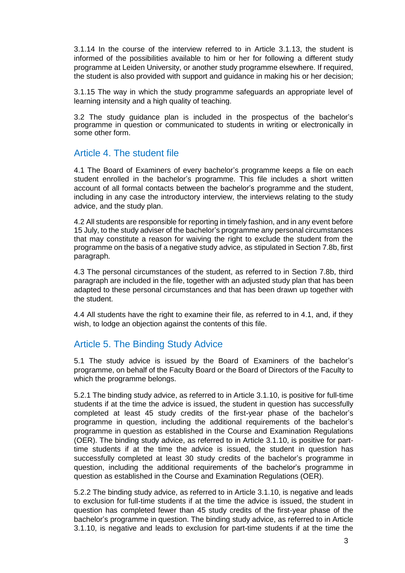3.1.14 In the course of the interview referred to in Article 3.1.13, the student is informed of the possibilities available to him or her for following a different study programme at Leiden University, or another study programme elsewhere. If required, the student is also provided with support and guidance in making his or her decision;

3.1.15 The way in which the study programme safeguards an appropriate level of learning intensity and a high quality of teaching.

3.2 The study guidance plan is included in the prospectus of the bachelor's programme in question or communicated to students in writing or electronically in some other form.

## Article 4. The student file

4.1 The Board of Examiners of every bachelor's programme keeps a file on each student enrolled in the bachelor's programme. This file includes a short written account of all formal contacts between the bachelor's programme and the student, including in any case the introductory interview, the interviews relating to the study advice, and the study plan.

4.2 All students are responsible for reporting in timely fashion, and in any event before 15 July, to the study adviser of the bachelor's programme any personal circumstances that may constitute a reason for waiving the right to exclude the student from the programme on the basis of a negative study advice, as stipulated in Section 7.8b, first paragraph.

4.3 The personal circumstances of the student, as referred to in Section 7.8b, third paragraph are included in the file, together with an adjusted study plan that has been adapted to these personal circumstances and that has been drawn up together with the student.

4.4 All students have the right to examine their file, as referred to in 4.1, and, if they wish, to lodge an objection against the contents of this file.

# Article 5. The Binding Study Advice

5.1 The study advice is issued by the Board of Examiners of the bachelor's programme, on behalf of the Faculty Board or the Board of Directors of the Faculty to which the programme belongs.

5.2.1 The binding study advice, as referred to in Article 3.1.10, is positive for full-time students if at the time the advice is issued, the student in question has successfully completed at least 45 study credits of the first-year phase of the bachelor's programme in question, including the additional requirements of the bachelor's programme in question as established in the Course and Examination Regulations (OER). The binding study advice, as referred to in Article 3.1.10, is positive for parttime students if at the time the advice is issued, the student in question has successfully completed at least 30 study credits of the bachelor's programme in question, including the additional requirements of the bachelor's programme in question as established in the Course and Examination Regulations (OER).

5.2.2 The binding study advice, as referred to in Article 3.1.10, is negative and leads to exclusion for full-time students if at the time the advice is issued, the student in question has completed fewer than 45 study credits of the first-year phase of the bachelor's programme in question. The binding study advice, as referred to in Article 3.1.10, is negative and leads to exclusion for part-time students if at the time the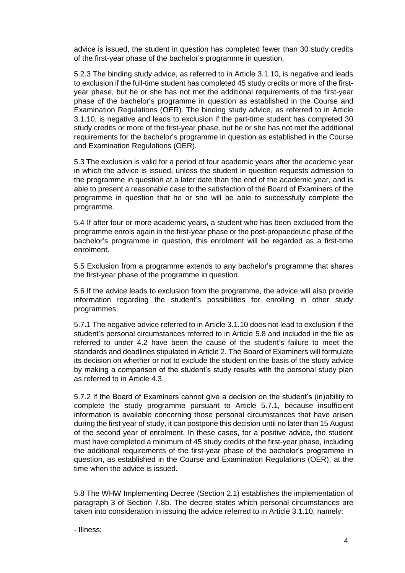advice is issued, the student in question has completed fewer than 30 study credits of the first-year phase of the bachelor's programme in question.

5.2.3 The binding study advice, as referred to in Article 3.1.10, is negative and leads to exclusion if the full-time student has completed 45 study credits or more of the firstyear phase, but he or she has not met the additional requirements of the first-year phase of the bachelor's programme in question as established in the Course and Examination Regulations (OER). The binding study advice, as referred to in Article 3.1.10, is negative and leads to exclusion if the part-time student has completed 30 study credits or more of the first-year phase, but he or she has not met the additional requirements for the bachelor's programme in question as established in the Course and Examination Regulations (OER).

5.3 The exclusion is valid for a period of four academic years after the academic year in which the advice is issued, unless the student in question requests admission to the programme in question at a later date than the end of the academic year, and is able to present a reasonable case to the satisfaction of the Board of Examiners of the programme in question that he or she will be able to successfully complete the programme.

5.4 If after four or more academic years, a student who has been excluded from the programme enrols again in the first-year phase or the post-propaedeutic phase of the bachelor's programme in question, this enrolment will be regarded as a first-time enrolment.

5.5 Exclusion from a programme extends to any bachelor's programme that shares the first-year phase of the programme in question.

5.6 If the advice leads to exclusion from the programme, the advice will also provide information regarding the student's possibilities for enrolling in other study programmes.

5.7.1 The negative advice referred to in Article 3.1.10 does not lead to exclusion if the student's personal circumstances referred to in Article 5.8 and included in the file as referred to under 4.2 have been the cause of the student's failure to meet the standards and deadlines stipulated in Article 2. The Board of Examiners will formulate its decision on whether or not to exclude the student on the basis of the study advice by making a comparison of the student's study results with the personal study plan as referred to in Article 4.3.

5.7.2 If the Board of Examiners cannot give a decision on the student's (in)ability to complete the study programme pursuant to Article 5.7.1, because insufficient information is available concerning those personal circumstances that have arisen during the first year of study, it can postpone this decision until no later than 15 August of the second year of enrolment. In these cases, for a positive advice, the student must have completed a minimum of 45 study credits of the first-year phase, including the additional requirements of the first-year phase of the bachelor's programme in question, as established in the Course and Examination Regulations (OER), at the time when the advice is issued.

5.8 The WHW Implementing Decree (Section 2.1) establishes the implementation of paragraph 3 of Section 7.8b. The decree states which personal circumstances are taken into consideration in issuing the advice referred to in Article 3.1.10, namely:

<sup>-</sup> Illness;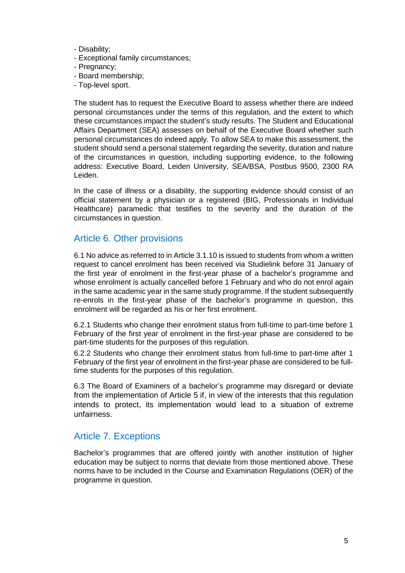- Disability;
- Exceptional family circumstances;
- Pregnancy;
- Board membership;
- Top-level sport.

The student has to request the Executive Board to assess whether there are indeed personal circumstances under the terms of this regulation, and the extent to which these circumstances impact the student's study results. The Student and Educational Affairs Department (SEA) assesses on behalf of the Executive Board whether such personal circumstances do indeed apply. To allow SEA to make this assessment, the student should send a personal statement regarding the severity, duration and nature of the circumstances in question, including supporting evidence, to the following address: Executive Board, Leiden University, SEA/BSA, Postbus 9500, 2300 RA Leiden.

In the case of illness or a disability, the supporting evidence should consist of an official statement by a physician or a registered (BIG, Professionals in Individual Healthcare) paramedic that testifies to the severity and the duration of the circumstances in question.

## Article 6. Other provisions

6.1 No advice as referred to in Article 3.1.10 is issued to students from whom a written request to cancel enrolment has been received via Studielink before 31 January of the first year of enrolment in the first-year phase of a bachelor's programme and whose enrolment is actually cancelled before 1 February and who do not enrol again in the same academic year in the same study programme. If the student subsequently re-enrols in the first-year phase of the bachelor's programme in question, this enrolment will be regarded as his or her first enrolment.

6.2.1 Students who change their enrolment status from full-time to part-time before 1 February of the first year of enrolment in the first-year phase are considered to be part-time students for the purposes of this regulation.

6.2.2 Students who change their enrolment status from full-time to part-time after 1 February of the first year of enrolment in the first-year phase are considered to be fulltime students for the purposes of this regulation.

6.3 The Board of Examiners of a bachelor's programme may disregard or deviate from the implementation of Article 5 if, in view of the interests that this regulation intends to protect, its implementation would lead to a situation of extreme unfairness.

# Article 7. Exceptions

Bachelor's programmes that are offered jointly with another institution of higher education may be subject to norms that deviate from those mentioned above. These norms have to be included in the Course and Examination Regulations (OER) of the programme in question.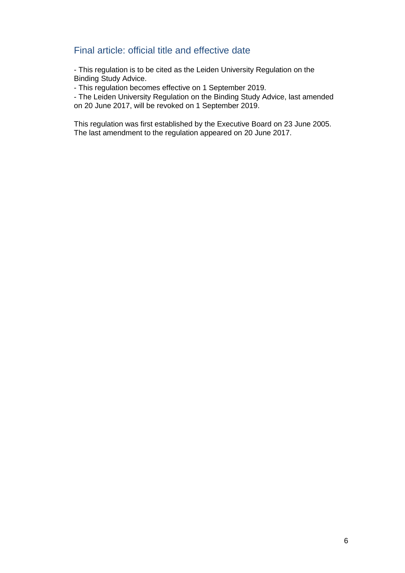# Final article: official title and effective date

- This regulation is to be cited as the Leiden University Regulation on the Binding Study Advice.

- This regulation becomes effective on 1 September 2019.

- The Leiden University Regulation on the Binding Study Advice, last amended on 20 June 2017, will be revoked on 1 September 2019.

This regulation was first established by the Executive Board on 23 June 2005. The last amendment to the regulation appeared on 20 June 2017.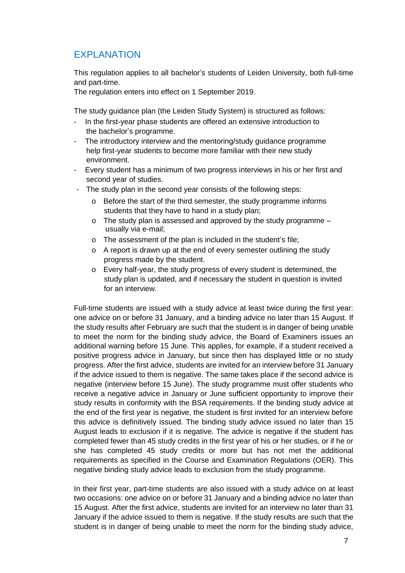# EXPLANATION

This regulation applies to all bachelor's students of Leiden University, both full-time and part-time.

The regulation enters into effect on 1 September 2019.

The study guidance plan (the Leiden Study System) is structured as follows:

- In the first-year phase students are offered an extensive introduction to the bachelor's programme.
- The introductory interview and the mentoring/study guidance programme help first-year students to become more familiar with their new study environment.
- Every student has a minimum of two progress interviews in his or her first and second year of studies.
- The study plan in the second year consists of the following steps:
	- o Before the start of the third semester, the study programme informs students that they have to hand in a study plan;
	- o The study plan is assessed and approved by the study programme usually via e-mail;
	- o The assessment of the plan is included in the student's file;
	- o A report is drawn up at the end of every semester outlining the study progress made by the student.
	- o Every half-year, the study progress of every student is determined, the study plan is updated, and if necessary the student in question is invited for an interview.

Full-time students are issued with a study advice at least twice during the first year: one advice on or before 31 January, and a binding advice no later than 15 August. If the study results after February are such that the student is in danger of being unable to meet the norm for the binding study advice, the Board of Examiners issues an additional warning before 15 June. This applies, for example, if a student received a positive progress advice in January, but since then has displayed little or no study progress. After the first advice, students are invited for an interview before 31 January if the advice issued to them is negative. The same takes place if the second advice is negative (interview before 15 June). The study programme must offer students who receive a negative advice in January or June sufficient opportunity to improve their study results in conformity with the BSA requirements. If the binding study advice at the end of the first year is negative, the student is first invited for an interview before this advice is definitively issued. The binding study advice issued no later than 15 August leads to exclusion if it is negative. The advice is negative if the student has completed fewer than 45 study credits in the first year of his or her studies, or if he or she has completed 45 study credits or more but has not met the additional requirements as specified in the Course and Examination Regulations (OER). This negative binding study advice leads to exclusion from the study programme.

In their first year, part-time students are also issued with a study advice on at least two occasions: one advice on or before 31 January and a binding advice no later than 15 August. After the first advice, students are invited for an interview no later than 31 January if the advice issued to them is negative. If the study results are such that the student is in danger of being unable to meet the norm for the binding study advice,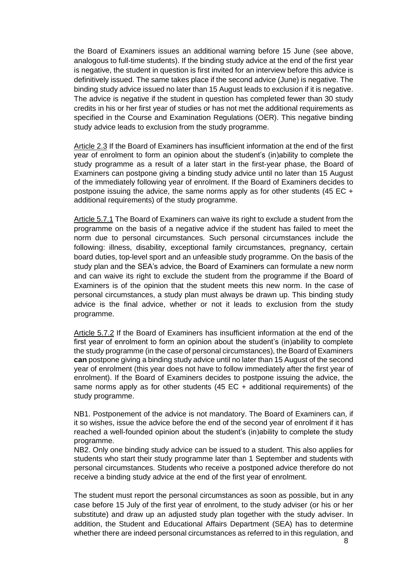the Board of Examiners issues an additional warning before 15 June (see above, analogous to full-time students). If the binding study advice at the end of the first year is negative, the student in question is first invited for an interview before this advice is definitively issued. The same takes place if the second advice (June) is negative. The binding study advice issued no later than 15 August leads to exclusion if it is negative. The advice is negative if the student in question has completed fewer than 30 study credits in his or her first year of studies or has not met the additional requirements as specified in the Course and Examination Regulations (OER). This negative binding study advice leads to exclusion from the study programme.

Article 2.3 If the Board of Examiners has insufficient information at the end of the first year of enrolment to form an opinion about the student's (in)ability to complete the study programme as a result of a later start in the first-year phase, the Board of Examiners can postpone giving a binding study advice until no later than 15 August of the immediately following year of enrolment. If the Board of Examiners decides to postpone issuing the advice, the same norms apply as for other students (45 EC + additional requirements) of the study programme.

Article 5.7.1 The Board of Examiners can waive its right to exclude a student from the programme on the basis of a negative advice if the student has failed to meet the norm due to personal circumstances. Such personal circumstances include the following: illness, disability, exceptional family circumstances, pregnancy, certain board duties, top-level sport and an unfeasible study programme. On the basis of the study plan and the SEA's advice, the Board of Examiners can formulate a new norm and can waive its right to exclude the student from the programme if the Board of Examiners is of the opinion that the student meets this new norm. In the case of personal circumstances, a study plan must always be drawn up. This binding study advice is the final advice, whether or not it leads to exclusion from the study programme.

Article 5.7.2 If the Board of Examiners has insufficient information at the end of the first year of enrolment to form an opinion about the student's (in)ability to complete the study programme (in the case of personal circumstances), the Board of Examiners **can** postpone giving a binding study advice until no later than 15 August of the second year of enrolment (this year does not have to follow immediately after the first year of enrolment). If the Board of Examiners decides to postpone issuing the advice, the same norms apply as for other students  $(45 \text{ EC} + \text{additional requirements})$  of the study programme.

NB1. Postponement of the advice is not mandatory. The Board of Examiners can, if it so wishes, issue the advice before the end of the second year of enrolment if it has reached a well-founded opinion about the student's (in)ability to complete the study programme.

NB2. Only one binding study advice can be issued to a student. This also applies for students who start their study programme later than 1 September and students with personal circumstances. Students who receive a postponed advice therefore do not receive a binding study advice at the end of the first year of enrolment.

The student must report the personal circumstances as soon as possible, but in any case before 15 July of the first year of enrolment, to the study adviser (or his or her substitute) and draw up an adjusted study plan together with the study adviser. In addition, the Student and Educational Affairs Department (SEA) has to determine whether there are indeed personal circumstances as referred to in this regulation, and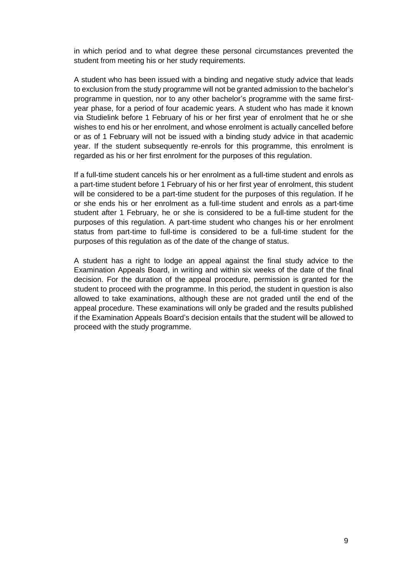in which period and to what degree these personal circumstances prevented the student from meeting his or her study requirements.

A student who has been issued with a binding and negative study advice that leads to exclusion from the study programme will not be granted admission to the bachelor's programme in question, nor to any other bachelor's programme with the same firstyear phase, for a period of four academic years. A student who has made it known via Studielink before 1 February of his or her first year of enrolment that he or she wishes to end his or her enrolment, and whose enrolment is actually cancelled before or as of 1 February will not be issued with a binding study advice in that academic year. If the student subsequently re-enrols for this programme, this enrolment is regarded as his or her first enrolment for the purposes of this regulation.

If a full-time student cancels his or her enrolment as a full-time student and enrols as a part-time student before 1 February of his or her first year of enrolment, this student will be considered to be a part-time student for the purposes of this regulation. If he or she ends his or her enrolment as a full-time student and enrols as a part-time student after 1 February, he or she is considered to be a full-time student for the purposes of this regulation. A part-time student who changes his or her enrolment status from part-time to full-time is considered to be a full-time student for the purposes of this regulation as of the date of the change of status.

A student has a right to lodge an appeal against the final study advice to the Examination Appeals Board, in writing and within six weeks of the date of the final decision. For the duration of the appeal procedure, permission is granted for the student to proceed with the programme. In this period, the student in question is also allowed to take examinations, although these are not graded until the end of the appeal procedure. These examinations will only be graded and the results published if the Examination Appeals Board's decision entails that the student will be allowed to proceed with the study programme.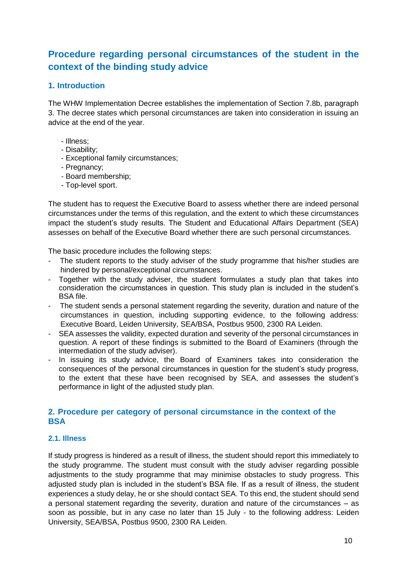# **Procedure regarding personal circumstances of the student in the context of the binding study advice**

### **1. Introduction**

The WHW Implementation Decree establishes the implementation of Section 7.8b, paragraph 3. The decree states which personal circumstances are taken into consideration in issuing an advice at the end of the year.

- Illness;
- Disability;
- Exceptional family circumstances;
- Pregnancy;
- Board membership;
- Top-level sport.

The student has to request the Executive Board to assess whether there are indeed personal circumstances under the terms of this regulation, and the extent to which these circumstances impact the student's study results. The Student and Educational Affairs Department (SEA) assesses on behalf of the Executive Board whether there are such personal circumstances.

The basic procedure includes the following steps:

- The student reports to the study adviser of the study programme that his/her studies are hindered by personal/exceptional circumstances.
- Together with the study adviser, the student formulates a study plan that takes into consideration the circumstances in question. This study plan is included in the student's BSA file.
- The student sends a personal statement regarding the severity, duration and nature of the circumstances in question, including supporting evidence, to the following address: Executive Board, Leiden University, SEA/BSA, Postbus 9500, 2300 RA Leiden.
- SEA assesses the validity, expected duration and severity of the personal circumstances in question. A report of these findings is submitted to the Board of Examiners (through the intermediation of the study adviser).
- In issuing its study advice, the Board of Examiners takes into consideration the consequences of the personal circumstances in question for the student's study progress, to the extent that these have been recognised by SEA, and assesses the student's performance in light of the adjusted study plan.

## **2. Procedure per category of personal circumstance in the context of the BSA**

#### **2.1. Illness**

If study progress is hindered as a result of illness, the student should report this immediately to the study programme. The student must consult with the study adviser regarding possible adjustments to the study programme that may minimise obstacles to study progress. This adjusted study plan is included in the student's BSA file. If as a result of illness, the student experiences a study delay, he or she should contact SEA. To this end, the student should send a personal statement regarding the severity, duration and nature of the circumstances – as soon as possible, but in any case no later than 15 July - to the following address: Leiden University, SEA/BSA, Postbus 9500, 2300 RA Leiden.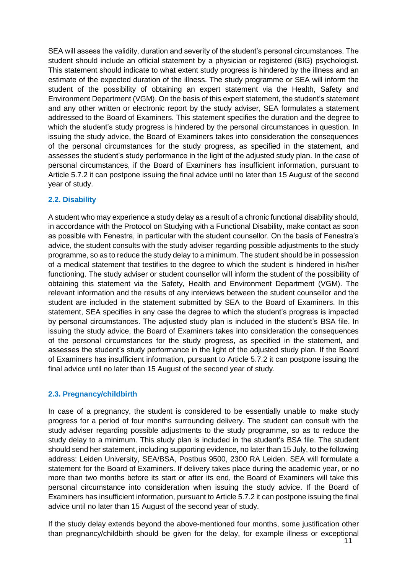SEA will assess the validity, duration and severity of the student's personal circumstances. The student should include an official statement by a physician or registered (BIG) psychologist. This statement should indicate to what extent study progress is hindered by the illness and an estimate of the expected duration of the illness. The study programme or SEA will inform the student of the possibility of obtaining an expert statement via the Health, Safety and Environment Department (VGM). On the basis of this expert statement, the student's statement and any other written or electronic report by the study adviser, SEA formulates a statement addressed to the Board of Examiners. This statement specifies the duration and the degree to which the student's study progress is hindered by the personal circumstances in question. In issuing the study advice, the Board of Examiners takes into consideration the consequences of the personal circumstances for the study progress, as specified in the statement, and assesses the student's study performance in the light of the adjusted study plan. In the case of personal circumstances, if the Board of Examiners has insufficient information, pursuant to Article 5.7.2 it can postpone issuing the final advice until no later than 15 August of the second year of study.

#### **2.2. Disability**

A student who may experience a study delay as a result of a chronic functional disability should, in accordance with the Protocol on Studying with a Functional Disability, make contact as soon as possible with Fenestra, in particular with the student counsellor. On the basis of Fenestra's advice, the student consults with the study adviser regarding possible adjustments to the study programme, so as to reduce the study delay to a minimum. The student should be in possession of a medical statement that testifies to the degree to which the student is hindered in his/her functioning. The study adviser or student counsellor will inform the student of the possibility of obtaining this statement via the Safety, Health and Environment Department (VGM). The relevant information and the results of any interviews between the student counsellor and the student are included in the statement submitted by SEA to the Board of Examiners. In this statement, SEA specifies in any case the degree to which the student's progress is impacted by personal circumstances. The adjusted study plan is included in the student's BSA file. In issuing the study advice, the Board of Examiners takes into consideration the consequences of the personal circumstances for the study progress, as specified in the statement, and assesses the student's study performance in the light of the adjusted study plan. If the Board of Examiners has insufficient information, pursuant to Article 5.7.2 it can postpone issuing the final advice until no later than 15 August of the second year of study.

#### **2.3. Pregnancy/childbirth**

In case of a pregnancy, the student is considered to be essentially unable to make study progress for a period of four months surrounding delivery. The student can consult with the study adviser regarding possible adjustments to the study programme, so as to reduce the study delay to a minimum. This study plan is included in the student's BSA file. The student should send her statement, including supporting evidence, no later than 15 July, to the following address: Leiden University, SEA/BSA, Postbus 9500, 2300 RA Leiden. SEA will formulate a statement for the Board of Examiners. If delivery takes place during the academic year, or no more than two months before its start or after its end, the Board of Examiners will take this personal circumstance into consideration when issuing the study advice. If the Board of Examiners has insufficient information, pursuant to Article 5.7.2 it can postpone issuing the final advice until no later than 15 August of the second year of study.

If the study delay extends beyond the above-mentioned four months, some justification other than pregnancy/childbirth should be given for the delay, for example illness or exceptional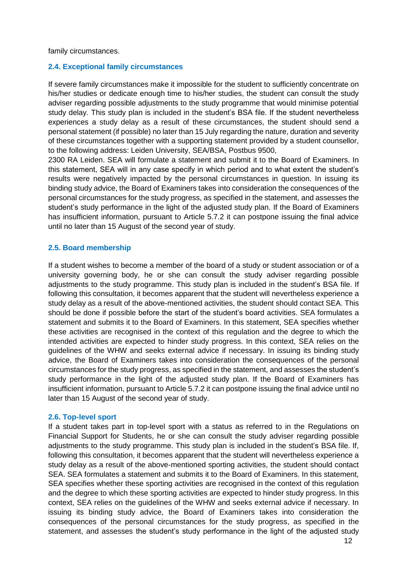family circumstances.

#### **2.4. Exceptional family circumstances**

If severe family circumstances make it impossible for the student to sufficiently concentrate on his/her studies or dedicate enough time to his/her studies, the student can consult the study adviser regarding possible adjustments to the study programme that would minimise potential study delay. This study plan is included in the student's BSA file. If the student nevertheless experiences a study delay as a result of these circumstances, the student should send a personal statement (if possible) no later than 15 July regarding the nature, duration and severity of these circumstances together with a supporting statement provided by a student counsellor, to the following address: Leiden University, SEA/BSA, Postbus 9500,

2300 RA Leiden. SEA will formulate a statement and submit it to the Board of Examiners. In this statement, SEA will in any case specify in which period and to what extent the student's results were negatively impacted by the personal circumstances in question. In issuing its binding study advice, the Board of Examiners takes into consideration the consequences of the personal circumstances for the study progress, as specified in the statement, and assesses the student's study performance in the light of the adjusted study plan. If the Board of Examiners has insufficient information, pursuant to Article 5.7.2 it can postpone issuing the final advice until no later than 15 August of the second year of study.

#### **2.5. Board membership**

If a student wishes to become a member of the board of a study or student association or of a university governing body, he or she can consult the study adviser regarding possible adjustments to the study programme. This study plan is included in the student's BSA file. If following this consultation, it becomes apparent that the student will nevertheless experience a study delay as a result of the above-mentioned activities, the student should contact SEA. This should be done if possible before the start of the student's board activities. SEA formulates a statement and submits it to the Board of Examiners. In this statement, SEA specifies whether these activities are recognised in the context of this regulation and the degree to which the intended activities are expected to hinder study progress. In this context, SEA relies on the guidelines of the WHW and seeks external advice if necessary. In issuing its binding study advice, the Board of Examiners takes into consideration the consequences of the personal circumstances for the study progress, as specified in the statement, and assesses the student's study performance in the light of the adjusted study plan. If the Board of Examiners has insufficient information, pursuant to Article 5.7.2 it can postpone issuing the final advice until no later than 15 August of the second year of study.

#### **2.6. Top-level sport**

If a student takes part in top-level sport with a status as referred to in the Regulations on Financial Support for Students, he or she can consult the study adviser regarding possible adjustments to the study programme. This study plan is included in the student's BSA file. If, following this consultation, it becomes apparent that the student will nevertheless experience a study delay as a result of the above-mentioned sporting activities, the student should contact SEA. SEA formulates a statement and submits it to the Board of Examiners. In this statement, SEA specifies whether these sporting activities are recognised in the context of this regulation and the degree to which these sporting activities are expected to hinder study progress. In this context, SEA relies on the guidelines of the WHW and seeks external advice if necessary. In issuing its binding study advice, the Board of Examiners takes into consideration the consequences of the personal circumstances for the study progress, as specified in the statement, and assesses the student's study performance in the light of the adjusted study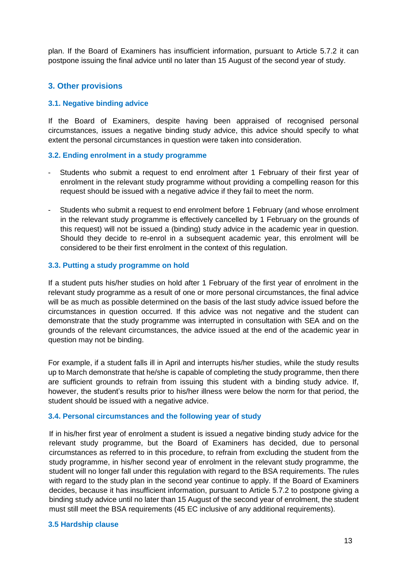plan. If the Board of Examiners has insufficient information, pursuant to Article 5.7.2 it can postpone issuing the final advice until no later than 15 August of the second year of study.

### **3. Other provisions**

#### **3.1. Negative binding advice**

If the Board of Examiners, despite having been appraised of recognised personal circumstances, issues a negative binding study advice, this advice should specify to what extent the personal circumstances in question were taken into consideration.

#### **3.2. Ending enrolment in a study programme**

- Students who submit a request to end enrolment after 1 February of their first year of enrolment in the relevant study programme without providing a compelling reason for this request should be issued with a negative advice if they fail to meet the norm.
- Students who submit a request to end enrolment before 1 February (and whose enrolment in the relevant study programme is effectively cancelled by 1 February on the grounds of this request) will not be issued a (binding) study advice in the academic year in question. Should they decide to re-enrol in a subsequent academic year, this enrolment will be considered to be their first enrolment in the context of this regulation.

#### **3.3. Putting a study programme on hold**

If a student puts his/her studies on hold after 1 February of the first year of enrolment in the relevant study programme as a result of one or more personal circumstances, the final advice will be as much as possible determined on the basis of the last study advice issued before the circumstances in question occurred. If this advice was not negative and the student can demonstrate that the study programme was interrupted in consultation with SEA and on the grounds of the relevant circumstances, the advice issued at the end of the academic year in question may not be binding.

For example, if a student falls ill in April and interrupts his/her studies, while the study results up to March demonstrate that he/she is capable of completing the study programme, then there are sufficient grounds to refrain from issuing this student with a binding study advice. If, however, the student's results prior to his/her illness were below the norm for that period, the student should be issued with a negative advice.

#### **3.4. Personal circumstances and the following year of study**

If in his/her first year of enrolment a student is issued a negative binding study advice for the relevant study programme, but the Board of Examiners has decided, due to personal circumstances as referred to in this procedure, to refrain from excluding the student from the study programme, in his/her second year of enrolment in the relevant study programme, the student will no longer fall under this regulation with regard to the BSA requirements. The rules with regard to the study plan in the second year continue to apply. If the Board of Examiners decides, because it has insufficient information, pursuant to Article 5.7.2 to postpone giving a binding study advice until no later than 15 August of the second year of enrolment, the student must still meet the BSA requirements (45 EC inclusive of any additional requirements).

#### **3.5 Hardship clause**